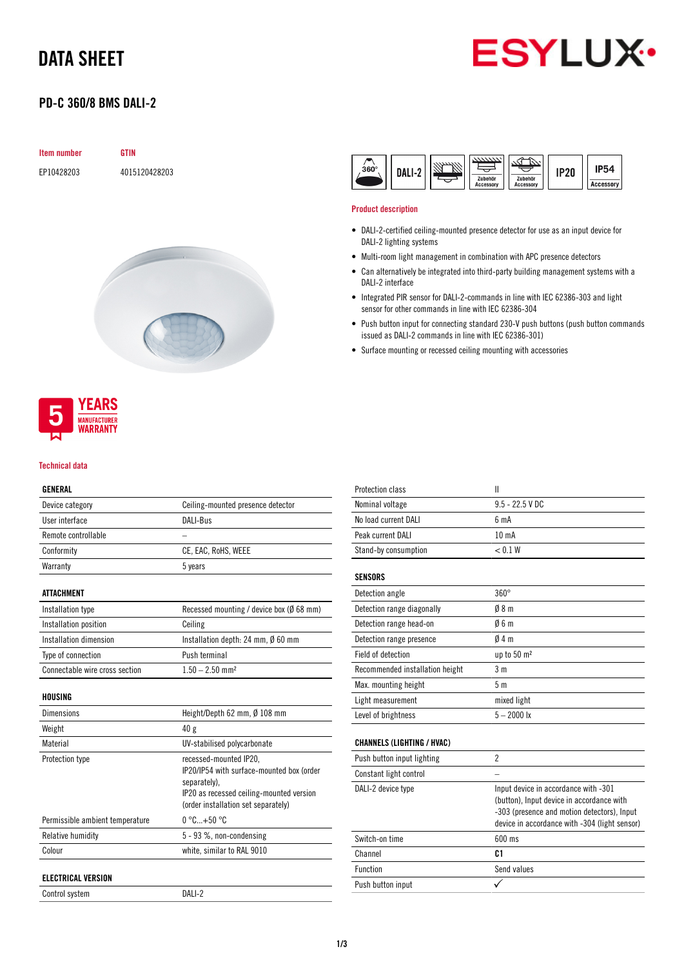# DATA SHEET

# **ESYLUX**

# PD-C 360/8 BMS DALI-2

| Item number | <b>GTIN</b>   |
|-------------|---------------|
| EP10428203  | 4015120428203 |



# **NUFACTURER** *NARRANTY*

**YEARS** 

#### Technical data

#### GENERAL

| Device category     | Ceiling-mounted presence detector |
|---------------------|-----------------------------------|
| User interface      | DALI-Bus                          |
| Remote controllable |                                   |
| Conformity          | CE, EAC, RoHS, WEEE               |
| Warranty            | 5 years                           |
|                     |                                   |

#### ATTACHMENT

| Installation type              | Recessed mounting / device box ( $\emptyset$ 68 mm) |
|--------------------------------|-----------------------------------------------------|
| Installation position          | Ceiling                                             |
| Installation dimension         | Installation depth: 24 mm, Ø 60 mm                  |
| Type of connection             | Push terminal                                       |
| Connectable wire cross section | $1.50 - 2.50$ mm <sup>2</sup>                       |

#### HOUSING

| <b>Dimensions</b>               | Height/Depth 62 mm, Ø 108 mm                                                                                                                                           |
|---------------------------------|------------------------------------------------------------------------------------------------------------------------------------------------------------------------|
| Weight                          | 40g                                                                                                                                                                    |
| Material                        | UV-stabilised polycarbonate                                                                                                                                            |
| Protection type                 | recessed-mounted IP20,<br>IP20/IP54 with surface-mounted box (order<br>separately).<br>IP20 as recessed ceiling-mounted version<br>(order installation set separately) |
| Permissible ambient temperature | $0^{\circ}$ C+50 $^{\circ}$ C                                                                                                                                          |
| Relative humidity               | 5 - 93 %, non-condensing                                                                                                                                               |
| Colour                          | white, similar to RAL 9010                                                                                                                                             |
| <b>ELECTRICAL VERSION</b>       |                                                                                                                                                                        |

Control system DALI-2



#### Product description

- DALI-2-certified ceiling-mounted presence detector for use as an input device for DALI-2 lighting systems
- Multi-room light management in combination with APC presence detectors
- Can alternatively be integrated into third-party building management systems with a DALI-2 interface
- Integrated PIR sensor for DALI-2-commands in line with IEC 62386-303 and light sensor for other commands in line with IEC 62386-304
- Push button input for connecting standard 230-V push buttons (push button commands issued as DALI-2 commands in line with IEC 62386-301)
- Surface mounting or recessed ceiling mounting with accessories

| $\mathbf{I}$                                                                                                                                                                      |
|-----------------------------------------------------------------------------------------------------------------------------------------------------------------------------------|
| $9.5 - 22.5$ V DC                                                                                                                                                                 |
| 6 <sub>m</sub> A                                                                                                                                                                  |
| 10 <sub>m</sub> A                                                                                                                                                                 |
| < 0.1 W                                                                                                                                                                           |
|                                                                                                                                                                                   |
| $360^\circ$                                                                                                                                                                       |
| 08 <sub>m</sub>                                                                                                                                                                   |
| 06m                                                                                                                                                                               |
| $0/4$ m                                                                                                                                                                           |
| up to 50 m <sup>2</sup>                                                                                                                                                           |
| 3 <sub>m</sub>                                                                                                                                                                    |
| 5 <sub>m</sub>                                                                                                                                                                    |
| mixed light                                                                                                                                                                       |
| $5 - 2000$ lx                                                                                                                                                                     |
|                                                                                                                                                                                   |
| $\overline{2}$                                                                                                                                                                    |
|                                                                                                                                                                                   |
| Input device in accordance with -301<br>(button), Input device in accordance with<br>-303 (presence and motion detectors), Input<br>device in accordance with -304 (light sensor) |
| 600 ms                                                                                                                                                                            |
| C <sub>1</sub>                                                                                                                                                                    |
| Send values                                                                                                                                                                       |
|                                                                                                                                                                                   |
|                                                                                                                                                                                   |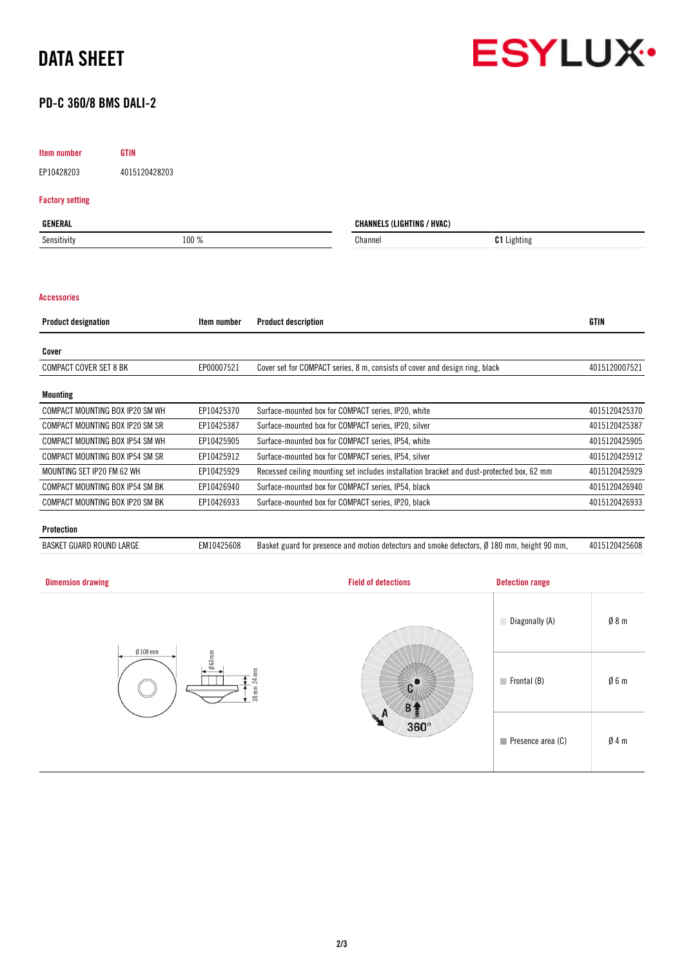



## PD-C 360/8 BMS DALI-2

#### Item number GTIN

EP10428203 4015120428203

#### Factory setting

| GENERAL     |       | <b>CHANNELS (LIGHTING / HVAC)</b> |                    |
|-------------|-------|-----------------------------------|--------------------|
| Sensitivity | 100 % | Channel                           | <b>C1</b> Lighting |
|             |       |                                   |                    |

#### Accessories

| <b>Product designation</b>      | Item number | <b>Product description</b>                                                                | <b>GTIN</b>   |
|---------------------------------|-------------|-------------------------------------------------------------------------------------------|---------------|
| Cover                           |             |                                                                                           |               |
| <b>COMPACT COVER SET 8 BK</b>   | EP00007521  | Cover set for COMPACT series, 8 m, consists of cover and design ring, black               | 4015120007521 |
| <b>Mounting</b>                 |             |                                                                                           |               |
| COMPACT MOUNTING BOX IP20 SM WH | EP10425370  | Surface-mounted box for COMPACT series, IP20, white                                       | 4015120425370 |
| COMPACT MOUNTING BOX IP20 SM SR | EP10425387  | Surface-mounted box for COMPACT series, IP20, silver                                      | 4015120425387 |
| COMPACT MOUNTING BOX IP54 SM WH | EP10425905  | Surface-mounted box for COMPACT series, IP54, white                                       | 4015120425905 |
| COMPACT MOUNTING BOX IP54 SM SR | EP10425912  | Surface-mounted box for COMPACT series, IP54, silver                                      | 4015120425912 |
| MOUNTING SET IP20 FM 62 WH      | EP10425929  | Recessed ceiling mounting set includes installation bracket and dust-protected box, 62 mm | 4015120425929 |
| COMPACT MOUNTING BOX IP54 SM BK | EP10426940  | Surface-mounted box for COMPACT series, IP54, black                                       | 4015120426940 |
| COMPACT MOUNTING BOX IP20 SM BK | EP10426933  | Surface-mounted box for COMPACT series, IP20, black                                       | 4015120426933 |
|                                 |             |                                                                                           |               |

#### Protection

BASKET GUARD ROUND LARGE EM10425608 Basket guard for presence and motion detectors and smoke detectors, Ø 180 mm, height 90 mm, 4015120425608

| <b>Dimension drawing</b> | <b>Field of detections</b> | <b>Detection range</b>     |                 |
|--------------------------|----------------------------|----------------------------|-----------------|
| $Ø108$ mm                |                            | Diagonally (A)             | $\emptyset$ 8 m |
| 060mm<br>24 mm<br>38 mm  |                            | $\blacksquare$ Frontal (B) | Ø6m             |
|                          | $360^\circ$                | Presence area (C)          | $\emptyset$ 4 m |